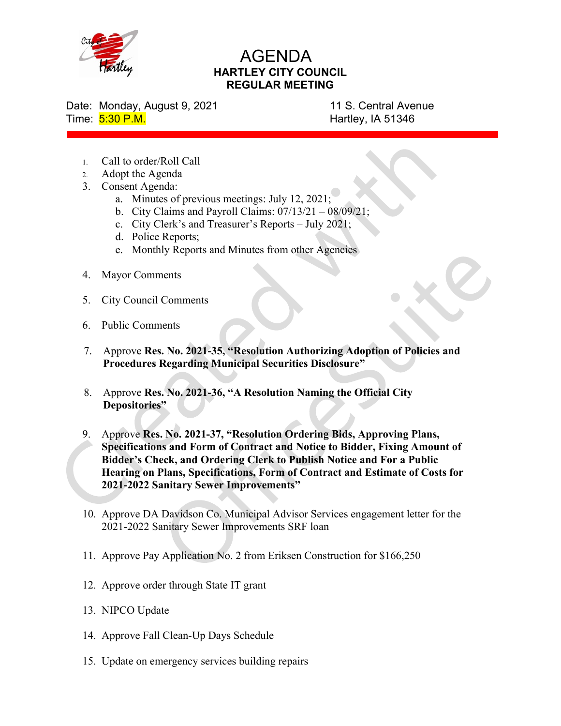

## AGENDA HARTLEY CITY COUNCIL REGULAR MEETING

Date: Monday, August 9, 2021 11 S. Central Avenue Time: 5:30 P.M. **Hartley, IA 51346** 

- 1. Call to order/Roll Call
- 2. Adopt the Agenda
- 3. Consent Agenda:
	- a. Minutes of previous meetings: July 12, 2021;
	- b. City Claims and Payroll Claims:  $07/13/21 08/09/21$ ;
	- c. City Clerk's and Treasurer's Reports July 2021;
	- d. Police Reports;
	- e. Monthly Reports and Minutes from other Agencies
- 4. Mayor Comments
- 5. City Council Comments
- 6. Public Comments
- 7. Approve Res. No. 2021-35, "Resolution Authorizing Adoption of Policies and Procedures Regarding Municipal Securities Disclosure"
- 8. Approve Res. No. 2021-36, "A Resolution Naming the Official City Depositories"
- 9. Approve Res. No. 2021-37, "Resolution Ordering Bids, Approving Plans, Specifications and Form of Contract and Notice to Bidder, Fixing Amount of Bidder's Check, and Ordering Clerk to Publish Notice and For a Public Hearing on Plans, Specifications, Form of Contract and Estimate of Costs for 2021-2022 Sanitary Sewer Improvements"
- 10. Approve DA Davidson Co. Municipal Advisor Services engagement letter for the 2021-2022 Sanitary Sewer Improvements SRF loan
- 11. Approve Pay Application No. 2 from Eriksen Construction for \$166,250
- 12. Approve order through State IT grant
- 13. NIPCO Update
- 14. Approve Fall Clean-Up Days Schedule
- 15. Update on emergency services building repairs